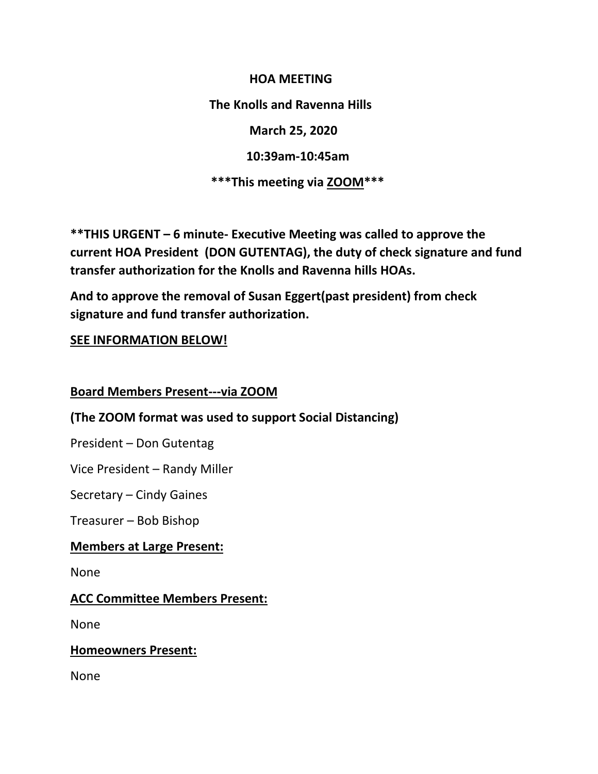**HOA MEETING The Knolls and Ravenna Hills March 25, 2020 10:39am-10:45am \*\*\*This meeting via ZOOM\*\*\***

**\*\*THIS URGENT – 6 minute- Executive Meeting was called to approve the current HOA President (DON GUTENTAG), the duty of check signature and fund transfer authorization for the Knolls and Ravenna hills HOAs.** 

**And to approve the removal of Susan Eggert(past president) from check signature and fund transfer authorization.**

## **SEE INFORMATION BELOW!**

#### **Board Members Present---via ZOOM**

## **(The ZOOM format was used to support Social Distancing)**

President – Don Gutentag

Vice President – Randy Miller

Secretary – Cindy Gaines

Treasurer – Bob Bishop

## **Members at Large Present:**

None

#### **ACC Committee Members Present:**

None

#### **Homeowners Present:**

None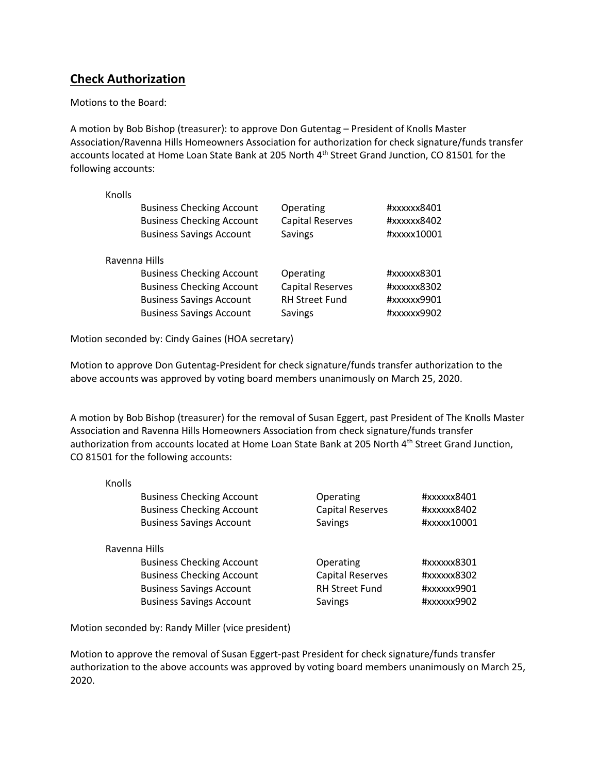## **Check Authorization**

Motions to the Board:

A motion by Bob Bishop (treasurer): to approve Don Gutentag – President of Knolls Master Association/Ravenna Hills Homeowners Association for authorization for check signature/funds transfer accounts located at Home Loan State Bank at 205 North 4<sup>th</sup> Street Grand Junction, CO 81501 for the following accounts:

Knolls

| Operating<br><b>Capital Reserves</b><br>Savings | #xxxxxx8401<br>#xxxxxx8402<br>#xxxxx10001 |  |  |  |
|-------------------------------------------------|-------------------------------------------|--|--|--|
| Ravenna Hills                                   |                                           |  |  |  |
| Operating                                       | #xxxxxx8301                               |  |  |  |
| <b>Capital Reserves</b>                         | #xxxxxx8302                               |  |  |  |
| <b>RH Street Fund</b>                           | #xxxxxx9901                               |  |  |  |
| Savings                                         | #xxxxxx9902                               |  |  |  |
|                                                 |                                           |  |  |  |

Motion seconded by: Cindy Gaines (HOA secretary)

Motion to approve Don Gutentag-President for check signature/funds transfer authorization to the above accounts was approved by voting board members unanimously on March 25, 2020.

A motion by Bob Bishop (treasurer) for the removal of Susan Eggert, past President of The Knolls Master Association and Ravenna Hills Homeowners Association from check signature/funds transfer authorization from accounts located at Home Loan State Bank at 205 North 4<sup>th</sup> Street Grand Junction, CO 81501 for the following accounts:

| Knolls        |                                  |                         |             |  |
|---------------|----------------------------------|-------------------------|-------------|--|
|               | <b>Business Checking Account</b> | Operating               | #xxxxxx8401 |  |
|               | <b>Business Checking Account</b> | <b>Capital Reserves</b> | #xxxxxx8402 |  |
|               | <b>Business Savings Account</b>  | Savings                 | #xxxxx10001 |  |
| Ravenna Hills |                                  |                         |             |  |
|               | <b>Business Checking Account</b> | Operating               | #xxxxxx8301 |  |
|               | <b>Business Checking Account</b> | <b>Capital Reserves</b> | #xxxxxx8302 |  |
|               | <b>Business Savings Account</b>  | <b>RH Street Fund</b>   | #xxxxxx9901 |  |
|               | <b>Business Savings Account</b>  | Savings                 | #xxxxxx9902 |  |

Motion seconded by: Randy Miller (vice president)

Motion to approve the removal of Susan Eggert-past President for check signature/funds transfer authorization to the above accounts was approved by voting board members unanimously on March 25, 2020.